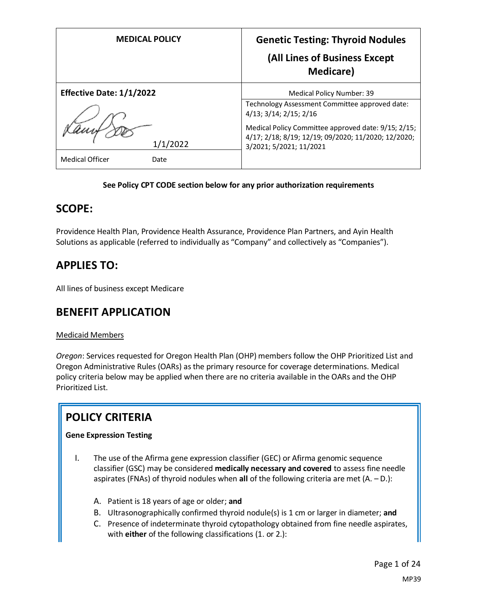| <b>MEDICAL POLICY</b>           | <b>Genetic Testing: Thyroid Nodules</b><br>(All Lines of Business Except<br><b>Medicare</b> )                                         |
|---------------------------------|---------------------------------------------------------------------------------------------------------------------------------------|
| <b>Effective Date: 1/1/2022</b> | <b>Medical Policy Number: 39</b>                                                                                                      |
|                                 | Technology Assessment Committee approved date:<br>4/13; 3/14; 2/15; 2/16                                                              |
| 1/1/2022                        | Medical Policy Committee approved date: 9/15; 2/15;<br>4/17; 2/18; 8/19; 12/19; 09/2020; 11/2020; 12/2020;<br>3/2021; 5/2021; 11/2021 |
| <b>Medical Officer</b><br>Date  |                                                                                                                                       |

#### **See Policy CPT CODE section below for any prior authorization requirements**

# **SCOPE:**

Providence Health Plan, Providence Health Assurance, Providence Plan Partners, and Ayin Health Solutions as applicable (referred to individually as "Company" and collectively as "Companies").

# **APPLIES TO:**

All lines of business except Medicare

### **BENEFIT APPLICATION**

#### Medicaid Members

*Oregon*: Services requested for Oregon Health Plan (OHP) members follow the OHP Prioritized List and Oregon Administrative Rules (OARs) as the primary resource for coverage determinations. Medical policy criteria below may be applied when there are no criteria available in the OARs and the OHP Prioritized List.

# **POLICY CRITERIA**

#### **Gene Expression Testing**

- I. The use of the Afirma gene expression classifier (GEC) or Afirma genomic sequence classifier (GSC) may be considered **medically necessary and covered** to assess fine needle aspirates (FNAs) of thyroid nodules when **all** of the following criteria are met (A. – D.):
	- A. Patient is 18 years of age or older; **and**
	- B. Ultrasonographically confirmed thyroid nodule(s) is 1 cm or larger in diameter; **and**
	- C. Presence of indeterminate thyroid cytopathology obtained from fine needle aspirates, with **either** of the following classifications (1. or 2.):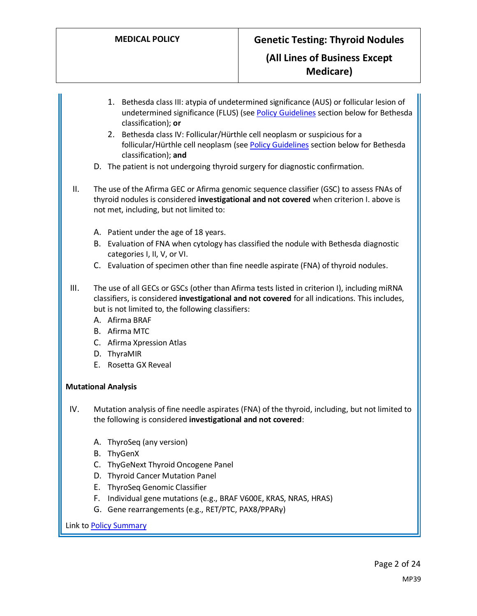- 1. Bethesda class III: atypia of undetermined significance (AUS) or follicular lesion of undetermined significance (FLUS) (se[e Policy Guidelines](#page-2-0) section below for Bethesda classification); **or**
- 2. Bethesda class IV: Follicular/Hürthle cell neoplasm or suspicious for a follicular/Hürthle cell neoplasm (se[e Policy Guidelines](#page-2-0) section below for Bethesda classification); **and**
- D. The patient is not undergoing thyroid surgery for diagnostic confirmation.
- II. The use of the Afirma GEC or Afirma genomic sequence classifier (GSC) to assess FNAs of thyroid nodules is considered **investigational and not covered** when criterion I. above is not met, including, but not limited to:
	- A. Patient under the age of 18 years.
	- B. Evaluation of FNA when cytology has classified the nodule with Bethesda diagnostic categories I, II, V, or VI.
	- C. Evaluation of specimen other than fine needle aspirate (FNA) of thyroid nodules.
- III. The use of all GECs or GSCs (other than Afirma tests listed in criterion I), including miRNA classifiers, is considered **investigational and not covered** for all indications. This includes, but is not limited to, the following classifiers:
	- A. Afirma BRAF
	- B. Afirma MTC
	- C. Afirma Xpression Atlas
	- D. ThyraMIR
	- E. Rosetta GX Reveal

#### **Mutational Analysis**

IV. Mutation analysis of fine needle aspirates (FNA) of the thyroid, including, but not limited to the following is considered **investigational and not covered**:

- A. ThyroSeq (any version)
- B. ThyGenX
- C. ThyGeNext Thyroid Oncogene Panel
- D. Thyroid Cancer Mutation Panel
- E. ThyroSeq Genomic Classifier
- F. Individual gene mutations (e.g., BRAF V600E, KRAS, NRAS, HRAS)
- G. Gene rearrangements (e.g., RET/PTC, PAX8/PPARγ)

Link t[o Policy Summary](#page-19-0)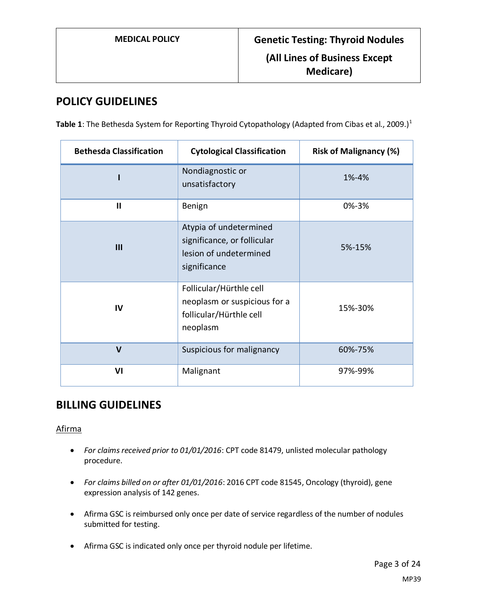# **POLICY GUIDELINES**

<span id="page-2-0"></span>Table 1: The Bethesda System for Reporting Thyroid Cytopathology (Adapted from Cibas et al., 2009.)<sup>1</sup>

| <b>Bethesda Classification</b> | <b>Cytological Classification</b>                                                               | <b>Risk of Malignancy (%)</b> |
|--------------------------------|-------------------------------------------------------------------------------------------------|-------------------------------|
|                                | Nondiagnostic or<br>unsatisfactory                                                              | 1%-4%                         |
| $\mathbf{I}$                   | Benign                                                                                          | 0%-3%                         |
| III                            | Atypia of undetermined<br>significance, or follicular<br>lesion of undetermined<br>significance | 5%-15%                        |
| IV                             | Follicular/Hürthle cell<br>neoplasm or suspicious for a<br>follicular/Hürthle cell<br>neoplasm  | 15%-30%                       |
| $\mathsf{V}$                   | Suspicious for malignancy                                                                       | 60%-75%                       |
| VI                             | Malignant                                                                                       | 97%-99%                       |

# **BILLING GUIDELINES**

Afirma

- *For claims received prior to 01/01/2016*: CPT code 81479, unlisted molecular pathology procedure.
- *For claims billed on or after 01/01/2016*: 2016 CPT code 81545, Oncology (thyroid), gene expression analysis of 142 genes.
- Afirma GSC is reimbursed only once per date of service regardless of the number of nodules submitted for testing.
- Afirma GSC is indicated only once per thyroid nodule per lifetime.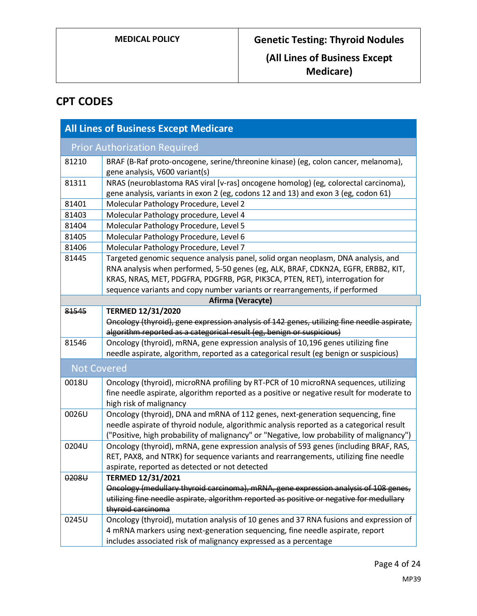# **CPT CODES**

| <b>All Lines of Business Except Medicare</b> |                                                                                                                                                                                                                                                                                                                                     |  |
|----------------------------------------------|-------------------------------------------------------------------------------------------------------------------------------------------------------------------------------------------------------------------------------------------------------------------------------------------------------------------------------------|--|
|                                              | <b>Prior Authorization Required</b>                                                                                                                                                                                                                                                                                                 |  |
| 81210                                        | BRAF (B-Raf proto-oncogene, serine/threonine kinase) (eg, colon cancer, melanoma),<br>gene analysis, V600 variant(s)                                                                                                                                                                                                                |  |
| 81311                                        | NRAS (neuroblastoma RAS viral [v-ras] oncogene homolog) (eg, colorectal carcinoma),<br>gene analysis, variants in exon 2 (eg, codons 12 and 13) and exon 3 (eg, codon 61)                                                                                                                                                           |  |
| 81401                                        | Molecular Pathology Procedure, Level 2                                                                                                                                                                                                                                                                                              |  |
| 81403                                        | Molecular Pathology procedure, Level 4                                                                                                                                                                                                                                                                                              |  |
| 81404                                        | Molecular Pathology Procedure, Level 5                                                                                                                                                                                                                                                                                              |  |
| 81405                                        | Molecular Pathology Procedure, Level 6                                                                                                                                                                                                                                                                                              |  |
| 81406                                        | Molecular Pathology Procedure, Level 7                                                                                                                                                                                                                                                                                              |  |
| 81445                                        | Targeted genomic sequence analysis panel, solid organ neoplasm, DNA analysis, and<br>RNA analysis when performed, 5-50 genes (eg, ALK, BRAF, CDKN2A, EGFR, ERBB2, KIT,<br>KRAS, NRAS, MET, PDGFRA, PDGFRB, PGR, PIK3CA, PTEN, RET), interrogation for<br>sequence variants and copy number variants or rearrangements, if performed |  |
| Afirma (Veracyte)                            |                                                                                                                                                                                                                                                                                                                                     |  |
| 81545                                        | <b>TERMED 12/31/2020</b>                                                                                                                                                                                                                                                                                                            |  |
|                                              | Oncology (thyroid), gene expression analysis of 142 genes, utilizing fine needle aspirate,<br>algorithm reported as a categorical result (eg, benign or suspicious)                                                                                                                                                                 |  |
| 81546                                        | Oncology (thyroid), mRNA, gene expression analysis of 10,196 genes utilizing fine                                                                                                                                                                                                                                                   |  |
|                                              | needle aspirate, algorithm, reported as a categorical result (eg benign or suspicious)                                                                                                                                                                                                                                              |  |
| <b>Not Covered</b>                           |                                                                                                                                                                                                                                                                                                                                     |  |
| 0018U                                        | Oncology (thyroid), microRNA profiling by RT-PCR of 10 microRNA sequences, utilizing<br>fine needle aspirate, algorithm reported as a positive or negative result for moderate to<br>high risk of malignancy                                                                                                                        |  |
| 0026U                                        | Oncology (thyroid), DNA and mRNA of 112 genes, next-generation sequencing, fine<br>needle aspirate of thyroid nodule, algorithmic analysis reported as a categorical result<br>("Positive, high probability of malignancy" or "Negative, low probability of malignancy")                                                            |  |
| 0204U                                        | Oncology (thyroid), mRNA, gene expression analysis of 593 genes (including BRAF, RAS,<br>RET, PAX8, and NTRK) for sequence variants and rearrangements, utilizing fine needle<br>aspirate, reported as detected or not detected                                                                                                     |  |
| 0208U                                        | <b>TERMED 12/31/2021</b>                                                                                                                                                                                                                                                                                                            |  |
|                                              | Oncology (medullary thyroid carcinoma), mRNA, gene expression analysis of 108 genes,                                                                                                                                                                                                                                                |  |
|                                              | utilizing fine needle aspirate, algorithm reported as positive or negative for medullary                                                                                                                                                                                                                                            |  |
|                                              | thyroid carcinoma                                                                                                                                                                                                                                                                                                                   |  |
| 0245U                                        | Oncology (thyroid), mutation analysis of 10 genes and 37 RNA fusions and expression of                                                                                                                                                                                                                                              |  |
|                                              | 4 mRNA markers using next-generation sequencing, fine needle aspirate, report                                                                                                                                                                                                                                                       |  |
|                                              | includes associated risk of malignancy expressed as a percentage                                                                                                                                                                                                                                                                    |  |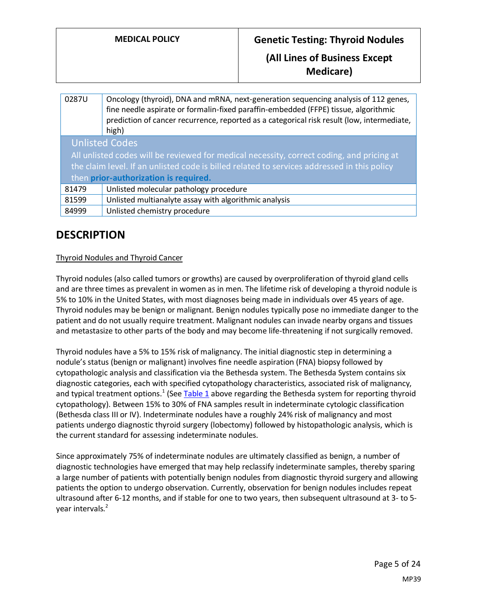# **MEDICAL POLICY Genetic Testing: Thyroid Nodules**

# **(All Lines of Business Except Medicare)**

| 0287U                                                                                       | Oncology (thyroid), DNA and mRNA, next-generation sequencing analysis of 112 genes,<br>fine needle aspirate or formalin-fixed paraffin-embedded (FFPE) tissue, algorithmic<br>prediction of cancer recurrence, reported as a categorical risk result (low, intermediate,<br>high) |
|---------------------------------------------------------------------------------------------|-----------------------------------------------------------------------------------------------------------------------------------------------------------------------------------------------------------------------------------------------------------------------------------|
| <b>Unlisted Codes</b>                                                                       |                                                                                                                                                                                                                                                                                   |
| All unlisted codes will be reviewed for medical necessity, correct coding, and pricing at   |                                                                                                                                                                                                                                                                                   |
| the claim level. If an unlisted code is billed related to services addressed in this policy |                                                                                                                                                                                                                                                                                   |
| then prior-authorization is required.                                                       |                                                                                                                                                                                                                                                                                   |
| 81479                                                                                       | Unlisted molecular pathology procedure                                                                                                                                                                                                                                            |
| 81599                                                                                       | Unlisted multianalyte assay with algorithmic analysis                                                                                                                                                                                                                             |
| 84999                                                                                       | Unlisted chemistry procedure                                                                                                                                                                                                                                                      |

# **DESCRIPTION**

#### Thyroid Nodules and Thyroid Cancer

Thyroid nodules (also called tumors or growths) are caused by overproliferation of thyroid gland cells and are three times as prevalent in women as in men. The lifetime risk of developing a thyroid nodule is 5% to 10% in the United States, with most diagnoses being made in individuals over 45 years of age. Thyroid nodules may be benign or malignant. Benign nodules typically pose no immediate danger to the patient and do not usually require treatment. Malignant nodules can invade nearby organs and tissues and metastasize to other parts of the body and may become life-threatening if not surgically removed.

Thyroid nodules have a 5% to 15% risk of malignancy. The initial diagnostic step in determining a nodule's status (benign or malignant) involves fine needle aspiration (FNA) biopsy followed by cytopathologic analysis and classification via the Bethesda system. The Bethesda System contains six diagnostic categories, each with specified cytopathology characteristics, associated risk of malignancy, and typical treatment options.<sup>1</sup> (See [Table 1](#page-2-0) above regarding the Bethesda system for reporting thyroid cytopathology). Between 15% to 30% of FNA samples result in indeterminate cytologic classification (Bethesda class III or IV). Indeterminate nodules have a roughly 24% risk of malignancy and most patients undergo diagnostic thyroid surgery (lobectomy) followed by histopathologic analysis, which is the current standard for assessing indeterminate nodules.

Since approximately 75% of indeterminate nodules are ultimately classified as benign, a number of diagnostic technologies have emerged that may help reclassify indeterminate samples, thereby sparing a large number of patients with potentially benign nodules from diagnostic thyroid surgery and allowing patients the option to undergo observation. Currently, observation for benign nodules includes repeat ultrasound after 6-12 months, and if stable for one to two years, then subsequent ultrasound at 3- to 5 year intervals.<sup>2</sup>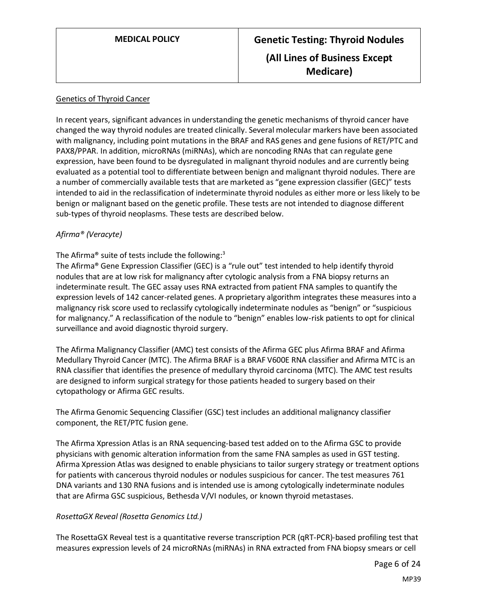#### Genetics of Thyroid Cancer

In recent years, significant advances in understanding the genetic mechanisms of thyroid cancer have changed the way thyroid nodules are treated clinically. Several molecular markers have been associated with malignancy, including point mutations in the BRAF and RAS genes and gene fusions of RET/PTC and PAX8/PPAR. In addition, microRNAs (miRNAs), which are noncoding RNAs that can regulate gene expression, have been found to be dysregulated in malignant thyroid nodules and are currently being evaluated as a potential tool to differentiate between benign and malignant thyroid nodules. There are a number of commercially available tests that are marketed as "gene expression classifier (GEC)" tests intended to aid in the reclassification of indeterminate thyroid nodules as either more or less likely to be benign or malignant based on the genetic profile. These tests are not intended to diagnose different sub-types of thyroid neoplasms. These tests are described below.

#### *Afirma® (Veracyte)*

#### The Afirma<sup>®</sup> suite of tests include the following:<sup>3</sup>

The Afirma® Gene Expression Classifier (GEC) is a "rule out" test intended to help identify thyroid nodules that are at low risk for malignancy after cytologic analysis from a FNA biopsy returns an indeterminate result. The GEC assay uses RNA extracted from patient FNA samples to quantify the expression levels of 142 cancer-related genes. A proprietary algorithm integrates these measures into a malignancy risk score used to reclassify cytologically indeterminate nodules as "benign" or "suspicious for malignancy." A reclassification of the nodule to "benign" enables low-risk patients to opt for clinical surveillance and avoid diagnostic thyroid surgery.

The Afirma Malignancy Classifier (AMC) test consists of the Afirma GEC plus Afirma BRAF and Afirma Medullary Thyroid Cancer (MTC). The Afirma BRAF is a BRAF V600E RNA classifier and Afirma MTC is an RNA classifier that identifies the presence of medullary thyroid carcinoma (MTC). The AMC test results are designed to inform surgical strategy for those patients headed to surgery based on their cytopathology or Afirma GEC results.

The Afirma Genomic Sequencing Classifier (GSC) test includes an additional malignancy classifier component, the RET/PTC fusion gene.

The Afirma Xpression Atlas is an RNA sequencing-based test added on to the Afirma GSC to provide physicians with genomic alteration information from the same FNA samples as used in GST testing. Afirma Xpression Atlas was designed to enable physicians to tailor surgery strategy or treatment options for patients with cancerous thyroid nodules or nodules suspicious for cancer. The test measures 761 DNA variants and 130 RNA fusions and is intended use is among cytologically indeterminate nodules that are Afirma GSC suspicious, Bethesda V/VI nodules, or known thyroid metastases.

#### *RosettaGX Reveal (Rosetta Genomics Ltd.)*

The RosettaGX Reveal test is a quantitative reverse transcription PCR (qRT-PCR)-based profiling test that measures expression levels of 24 microRNAs (miRNAs) in RNA extracted from FNA biopsy smears or cell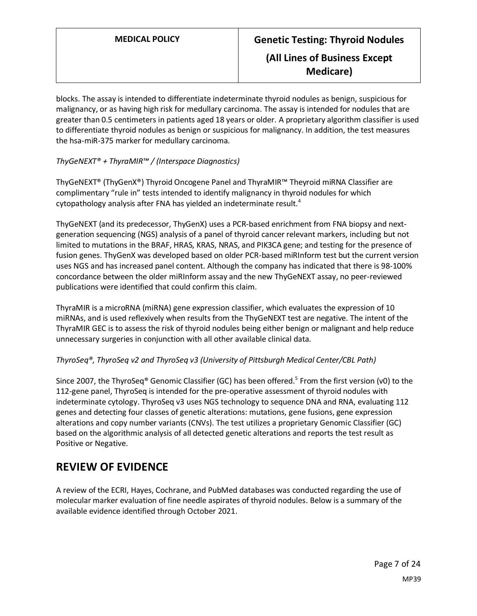blocks. The assay is intended to differentiate indeterminate thyroid nodules as benign, suspicious for malignancy, or as having high risk for medullary carcinoma. The assay is intended for nodules that are greater than 0.5 centimeters in patients aged 18 years or older. A proprietary algorithm classifier is used to differentiate thyroid nodules as benign or suspicious for malignancy. In addition, the test measures the hsa-miR-375 marker for medullary carcinoma.

#### *ThyGeNEXT® + ThyraMIR™ / (Interspace Diagnostics)*

ThyGeNEXT® (ThyGenX®) Thyroid Oncogene Panel and ThyraMIR™ Theyroid miRNA Classifier are complimentary "rule in" tests intended to identify malignancy in thyroid nodules for which cytopathology analysis after FNA has yielded an indeterminate result.<sup>4</sup>

ThyGeNEXT (and its predecessor, ThyGenX) uses a PCR-based enrichment from FNA biopsy and nextgeneration sequencing (NGS) analysis of a panel of thyroid cancer relevant markers, including but not limited to mutations in the BRAF, HRAS, KRAS, NRAS, and PIK3CA gene; and testing for the presence of fusion genes. ThyGenX was developed based on older PCR-based miRInform test but the current version uses NGS and has increased panel content. Although the company has indicated that there is 98-100% concordance between the older miRInform assay and the new ThyGeNEXT assay, no peer-reviewed publications were identified that could confirm this claim.

ThyraMIR is a microRNA (miRNA) gene expression classifier, which evaluates the expression of 10 miRNAs, and is used reflexively when results from the ThyGeNEXT test are negative. The intent of the ThyraMIR GEC is to assess the risk of thyroid nodules being either benign or malignant and help reduce unnecessary surgeries in conjunction with all other available clinical data.

#### *ThyroSeq®, ThyroSeq v2 and ThyroSeq v3 (University of Pittsburgh Medical Center/CBL Path)*

Since 2007, the ThyroSeq® Genomic Classifier (GC) has been offered.<sup>5</sup> From the first version (v0) to the 112-gene panel, ThyroSeq is intended for the pre-operative assessment of thyroid nodules with indeterminate cytology. ThyroSeq v3 uses NGS technology to sequence DNA and RNA, evaluating 112 genes and detecting four classes of genetic alterations: mutations, gene fusions, gene expression alterations and copy number variants (CNVs). The test utilizes a proprietary Genomic Classifier (GC) based on the algorithmic analysis of all detected genetic alterations and reports the test result as Positive or Negative.

# **REVIEW OF EVIDENCE**

A review of the ECRI, Hayes, Cochrane, and PubMed databases was conducted regarding the use of molecular marker evaluation of fine needle aspirates of thyroid nodules. Below is a summary of the available evidence identified through October 2021.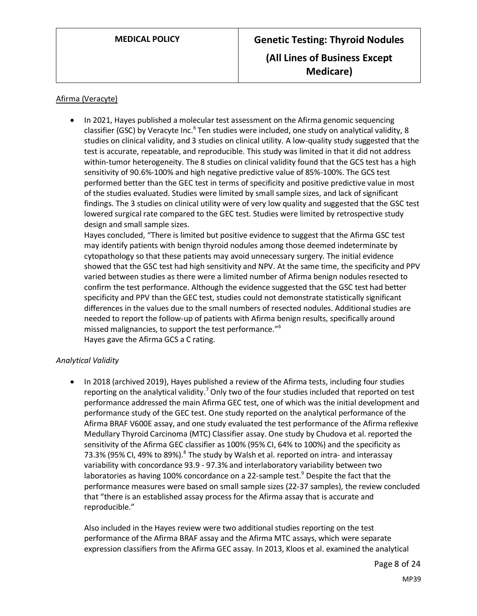#### Afirma (Veracyte)

• In 2021, Hayes published a molecular test assessment on the Afirma genomic sequencing classifier (GSC) by Veracyte Inc.<sup>6</sup> Ten studies were included, one study on analytical validity, 8 studies on clinical validity, and 3 studies on clinical utility. A low-quality study suggested that the test is accurate, repeatable, and reproducible. This study was limited in that it did not address within-tumor heterogeneity. The 8 studies on clinical validity found that the GCS test has a high sensitivity of 90.6%-100% and high negative predictive value of 85%-100%. The GCS test performed better than the GEC test in terms of specificity and positive predictive value in most of the studies evaluated. Studies were limited by small sample sizes, and lack of significant findings. The 3 studies on clinical utility were of very low quality and suggested that the GSC test lowered surgical rate compared to the GEC test. Studies were limited by retrospective study design and small sample sizes.

Hayes concluded, "There is limited but positive evidence to suggest that the Afirma GSC test may identify patients with benign thyroid nodules among those deemed indeterminate by cytopathology so that these patients may avoid unnecessary surgery. The initial evidence showed that the GSC test had high sensitivity and NPV. At the same time, the specificity and PPV varied between studies as there were a limited number of Afirma benign nodules resected to confirm the test performance. Although the evidence suggested that the GSC test had better specificity and PPV than the GEC test, studies could not demonstrate statistically significant differences in the values due to the small numbers of resected nodules. Additional studies are needed to report the follow-up of patients with Afirma benign results, specifically around missed malignancies, to support the test performance." 6 Hayes gave the Afirma GCS a C rating.

#### *Analytical Validity*

• In 2018 (archived 2019), Hayes published a review of the Afirma tests, including four studies reporting on the analytical validity.<sup>7</sup> Only two of the four studies included that reported on test performance addressed the main Afirma GEC test, one of which was the initial development and performance study of the GEC test. One study reported on the analytical performance of the Afirma BRAF V600E assay, and one study evaluated the test performance of the Afirma reflexive Medullary Thyroid Carcinoma (MTC) Classifier assay. One study by Chudova et al. reported the sensitivity of the Afirma GEC classifier as 100% (95% CI, 64% to 100%) and the specificity as 73.3% (95% CI, 49% to 89%).<sup>8</sup> The study by Walsh et al. reported on intra- and interassay variability with concordance 93.9 - 97.3% and interlaboratory variability between two laboratories as having 100% concordance on a 22-sample test.<sup>9</sup> Despite the fact that the performance measures were based on small sample sizes (22-37 samples), the review concluded that "there is an established assay process for the Afirma assay that is accurate and reproducible."

Also included in the Hayes review were two additional studies reporting on the test performance of the Afirma BRAF assay and the Afirma MTC assays, which were separate expression classifiers from the Afirma GEC assay. In 2013, Kloos et al. examined the analytical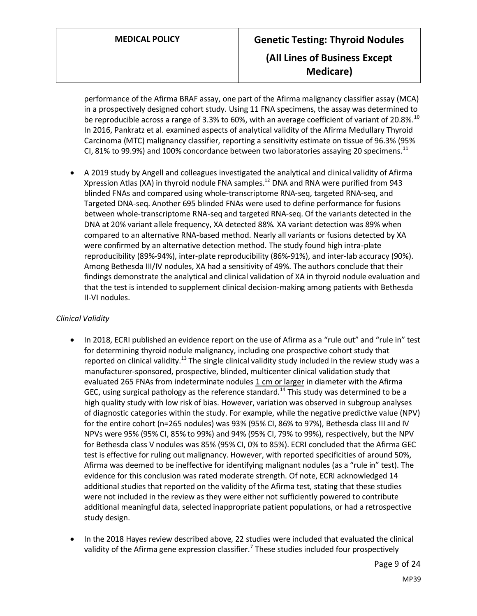# **MEDICAL POLICY Genetic Testing: Thyroid Nodules (All Lines of Business Except Medicare)**

performance of the Afirma BRAF assay, one part of the Afirma malignancy classifier assay (MCA) in a prospectively designed cohort study. Using 11 FNA specimens, the assay was determined to be reproducible across a range of 3.3% to 60%, with an average coefficient of variant of 20.8%.<sup>10</sup> In 2016, Pankratz et al. examined aspects of analytical validity of the Afirma Medullary Thyroid Carcinoma (MTC) malignancy classifier, reporting a sensitivity estimate on tissue of 96.3% (95% CI, 81% to 99.9%) and 100% concordance between two laboratories assaying 20 specimens.<sup>11</sup>

• A 2019 study by Angell and colleagues investigated the analytical and clinical validity of Afirma Xpression Atlas (XA) in thyroid nodule FNA samples.<sup>12</sup> DNA and RNA were purified from 943 blinded FNAs and compared using whole-transcriptome RNA-seq, targeted RNA-seq, and Targeted DNA-seq. Another 695 blinded FNAs were used to define performance for fusions between whole-transcriptome RNA-seq and targeted RNA-seq. Of the variants detected in the DNA at 20% variant allele frequency, XA detected 88%. XA variant detection was 89% when compared to an alternative RNA-based method. Nearly all variants or fusions detected by XA were confirmed by an alternative detection method. The study found high intra-plate reproducibility (89%-94%), inter-plate reproducibility (86%-91%), and inter-lab accuracy (90%). Among Bethesda III/IV nodules, XA had a sensitivity of 49%. The authors conclude that their findings demonstrate the analytical and clinical validation of XA in thyroid nodule evaluation and that the test is intended to supplement clinical decision-making among patients with Bethesda II-VI nodules.

### *Clinical Validity*

- In 2018, ECRI published an evidence report on the use of Afirma as a "rule out" and "rule in" test for determining thyroid nodule malignancy, including one prospective cohort study that reported on clinical validity.<sup>13</sup> The single clinical validity study included in the review study was a manufacturer-sponsored, prospective, blinded, multicenter clinical validation study that evaluated 265 FNAs from indeterminate nodules 1 cm or larger in diameter with the Afirma GEC, using surgical pathology as the reference standard.<sup>14</sup> This study was determined to be a high quality study with low risk of bias. However, variation was observed in subgroup analyses of diagnostic categories within the study. For example, while the negative predictive value (NPV) for the entire cohort (n=265 nodules) was 93% (95% CI, 86% to 97%), Bethesda class III and IV NPVs were 95% (95% CI, 85% to 99%) and 94% (95% CI, 79% to 99%), respectively, but the NPV for Bethesda class V nodules was 85% (95% CI, 0% to 85%). ECRI concluded that the Afirma GEC test is effective for ruling out malignancy. However, with reported specificities of around 50%, Afirma was deemed to be ineffective for identifying malignant nodules (as a "rule in" test). The evidence for this conclusion was rated moderate strength. Of note, ECRI acknowledged 14 additional studies that reported on the validity of the Afirma test, stating that these studies were not included in the review as they were either not sufficiently powered to contribute additional meaningful data, selected inappropriate patient populations, or had a retrospective study design.
- In the 2018 Hayes review described above, 22 studies were included that evaluated the clinical validity of the Afirma gene expression classifier.<sup>7</sup> These studies included four prospectively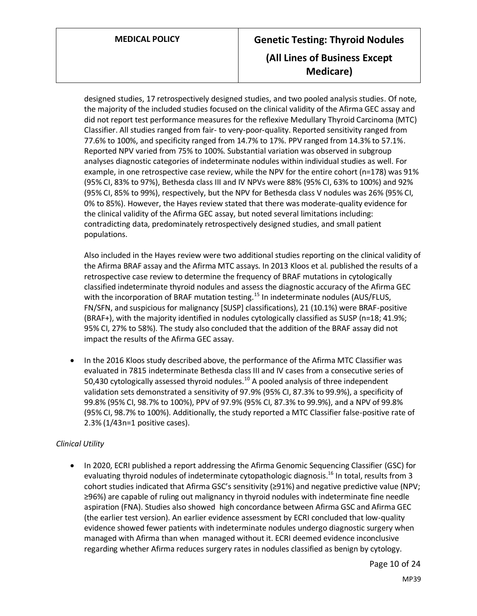# **MEDICAL POLICY Genetic Testing: Thyroid Nodules (All Lines of Business Except Medicare)**

designed studies, 17 retrospectively designed studies, and two pooled analysis studies. Of note, the majority of the included studies focused on the clinical validity of the Afirma GEC assay and did not report test performance measures for the reflexive Medullary Thyroid Carcinoma (MTC) Classifier. All studies ranged from fair- to very-poor-quality. Reported sensitivity ranged from 77.6% to 100%, and specificity ranged from 14.7% to 17%. PPV ranged from 14.3% to 57.1%. Reported NPV varied from 75% to 100%. Substantial variation was observed in subgroup analyses diagnostic categories of indeterminate nodules within individual studies as well. For example, in one retrospective case review, while the NPV for the entire cohort (n=178) was 91% (95% CI, 83% to 97%), Bethesda class III and IV NPVs were 88% (95% CI, 63% to 100%) and 92% (95% CI, 85% to 99%), respectively, but the NPV for Bethesda class V nodules was 26% (95% CI, 0% to 85%). However, the Hayes review stated that there was moderate-quality evidence for the clinical validity of the Afirma GEC assay, but noted several limitations including: contradicting data, predominately retrospectively designed studies, and small patient populations.

Also included in the Hayes review were two additional studies reporting on the clinical validity of the Afirma BRAF assay and the Afirma MTC assays. In 2013 Kloos et al. published the results of a retrospective case review to determine the frequency of BRAF mutations in cytologically classified indeterminate thyroid nodules and assess the diagnostic accuracy of the Afirma GEC with the incorporation of BRAF mutation testing.<sup>15</sup> In indeterminate nodules (AUS/FLUS, FN/SFN, and suspicious for malignancy [SUSP] classifications), 21 (10.1%) were BRAF-positive (BRAF+), with the majority identified in nodules cytologically classified as SUSP (n=18; 41.9%; 95% CI, 27% to 58%). The study also concluded that the addition of the BRAF assay did not impact the results of the Afirma GEC assay.

• In the 2016 Kloos study described above, the performance of the Afirma MTC Classifier was evaluated in 7815 indeterminate Bethesda class III and IV cases from a consecutive series of 50,430 cytologically assessed thyroid nodules.<sup>10</sup> A pooled analysis of three independent validation sets demonstrated a sensitivity of 97.9% (95% CI, 87.3% to 99.9%), a specificity of 99.8% (95% CI, 98.7% to 100%), PPV of 97.9% (95% CI, 87.3% to 99.9%), and a NPV of 99.8% (95% CI, 98.7% to 100%). Additionally, the study reported a MTC Classifier false-positive rate of 2.3% (1/43n=1 positive cases).

#### *Clinical Utility*

• In 2020, ECRI published a report addressing the Afirma Genomic Sequencing Classifier (GSC) for evaluating thyroid nodules of indeterminate cytopathologic diagnosis.<sup>16</sup> In total, results from 3 cohort studies indicated that Afirma GSC's sensitivity (≥91%) and negative predictive value (NPV; ≥96%) are capable of ruling out malignancy in thyroid nodules with indeterminate fine needle aspiration (FNA). Studies also showed high concordance between Afirma GSC and Afirma GEC (the earlier test version). An earlier evidence assessment by ECRI concluded that low-quality evidence showed fewer patients with indeterminate nodules undergo diagnostic surgery when managed with Afirma than when managed without it. ECRI deemed evidence inconclusive regarding whether Afirma reduces surgery rates in nodules classified as benign by cytology.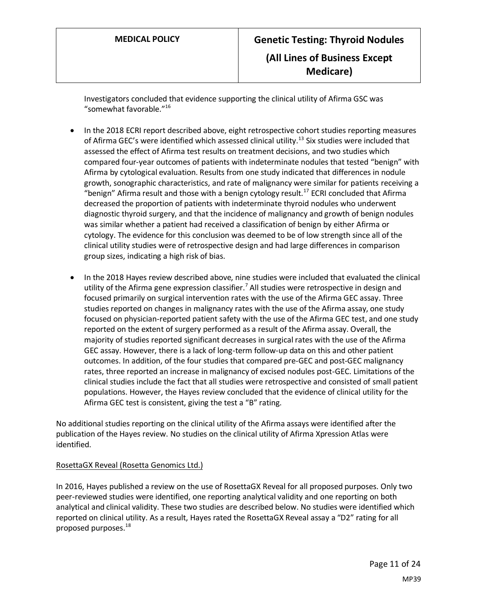Investigators concluded that evidence supporting the clinical utility of Afirma GSC was "somewhat favorable."<sup>16</sup>

- In the 2018 ECRI report described above, eight retrospective cohort studies reporting measures of Afirma GEC's were identified which assessed clinical utility.<sup>13</sup> Six studies were included that assessed the effect of Afirma test results on treatment decisions, and two studies which compared four-year outcomes of patients with indeterminate nodules that tested "benign" with Afirma by cytological evaluation. Results from one study indicated that differences in nodule growth, sonographic characteristics, and rate of malignancy were similar for patients receiving a "benign" Afirma result and those with a benign cytology result.<sup>17</sup> ECRI concluded that Afirma decreased the proportion of patients with indeterminate thyroid nodules who underwent diagnostic thyroid surgery, and that the incidence of malignancy and growth of benign nodules was similar whether a patient had received a classification of benign by either Afirma or cytology. The evidence for this conclusion was deemed to be of low strength since all of the clinical utility studies were of retrospective design and had large differences in comparison group sizes, indicating a high risk of bias.
- In the 2018 Hayes review described above, nine studies were included that evaluated the clinical utility of the Afirma gene expression classifier.<sup>7</sup> All studies were retrospective in design and focused primarily on surgical intervention rates with the use of the Afirma GEC assay. Three studies reported on changes in malignancy rates with the use of the Afirma assay, one study focused on physician-reported patient safety with the use of the Afirma GEC test, and one study reported on the extent of surgery performed as a result of the Afirma assay. Overall, the majority of studies reported significant decreases in surgical rates with the use of the Afirma GEC assay. However, there is a lack of long-term follow-up data on this and other patient outcomes. In addition, of the four studies that compared pre-GEC and post-GEC malignancy rates, three reported an increase in malignancy of excised nodules post-GEC. Limitations of the clinical studies include the fact that all studies were retrospective and consisted of small patient populations. However, the Hayes review concluded that the evidence of clinical utility for the Afirma GEC test is consistent, giving the test a "B" rating.

No additional studies reporting on the clinical utility of the Afirma assays were identified after the publication of the Hayes review. No studies on the clinical utility of Afirma Xpression Atlas were identified.

#### RosettaGX Reveal (Rosetta Genomics Ltd.)

In 2016, Hayes published a review on the use of RosettaGX Reveal for all proposed purposes. Only two peer-reviewed studies were identified, one reporting analytical validity and one reporting on both analytical and clinical validity. These two studies are described below. No studies were identified which reported on clinical utility. As a result, Hayes rated the RosettaGX Reveal assay a "D2" rating for all proposed purposes.<sup>18</sup>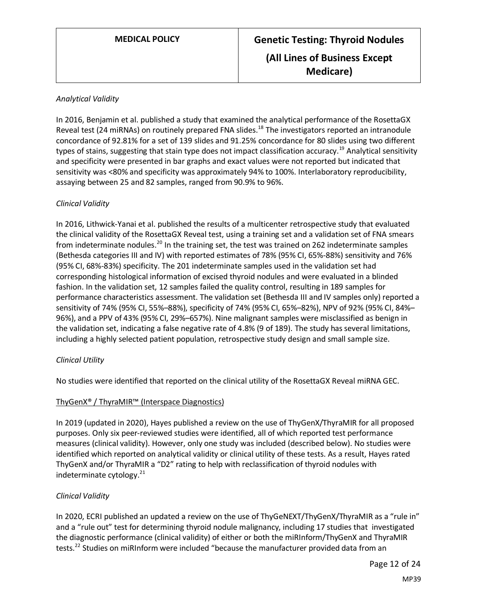#### *Analytical Validity*

In 2016, Benjamin et al. published a study that examined the analytical performance of the RosettaGX Reveal test (24 miRNAs) on routinely prepared FNA slides.<sup>18</sup> The investigators reported an intranodule concordance of 92.81% for a set of 139 slides and 91.25% concordance for 80 slides using two different types of stains, suggesting that stain type does not impact classification accuracy.<sup>19</sup> Analytical sensitivity and specificity were presented in bar graphs and exact values were not reported but indicated that sensitivity was <80% and specificity was approximately 94% to 100%. Interlaboratory reproducibility, assaying between 25 and 82 samples, ranged from 90.9% to 96%.

#### *Clinical Validity*

In 2016, Lithwick-Yanai et al. published the results of a multicenter retrospective study that evaluated the clinical validity of the RosettaGX Reveal test, using a training set and a validation set of FNA smears from indeterminate nodules.<sup>20</sup> In the training set, the test was trained on 262 indeterminate samples (Bethesda categories III and IV) with reported estimates of 78% (95% CI, 65%-88%) sensitivity and 76% (95% CI, 68%-83%) specificity. The 201 indeterminate samples used in the validation set had corresponding histological information of excised thyroid nodules and were evaluated in a blinded fashion. In the validation set, 12 samples failed the quality control, resulting in 189 samples for performance characteristics assessment. The validation set (Bethesda III and IV samples only) reported a sensitivity of 74% (95% CI, 55%–88%), specificity of 74% (95% CI, 65%–82%), NPV of 92% (95% CI, 84%– 96%), and a PPV of 43% (95% CI, 29%–657%). Nine malignant samples were misclassified as benign in the validation set, indicating a false negative rate of 4.8% (9 of 189). The study has several limitations, including a highly selected patient population, retrospective study design and small sample size.

#### *Clinical Utility*

No studies were identified that reported on the clinical utility of the RosettaGX Reveal miRNA GEC.

#### ThyGenX® / ThyraMIR™ (Interspace Diagnostics)

In 2019 (updated in 2020), Hayes published a review on the use of ThyGenX/ThyraMIR for all proposed purposes. Only six peer-reviewed studies were identified, all of which reported test performance measures (clinical validity). However, only one study was included (described below). No studies were identified which reported on analytical validity or clinical utility of these tests. As a result, Hayes rated ThyGenX and/or ThyraMIR a "D2" rating to help with reclassification of thyroid nodules with indeterminate cytology. 21

#### *Clinical Validity*

In 2020, ECRI published an updated a review on the use of ThyGeNEXT/ThyGenX/ThyraMIR as a "rule in" and a "rule out" test for determining thyroid nodule malignancy, including 17 studies that investigated the diagnostic performance (clinical validity) of either or both the miRInform/ThyGenX and ThyraMIR tests.<sup>22</sup> Studies on miRInform were included "because the manufacturer provided data from an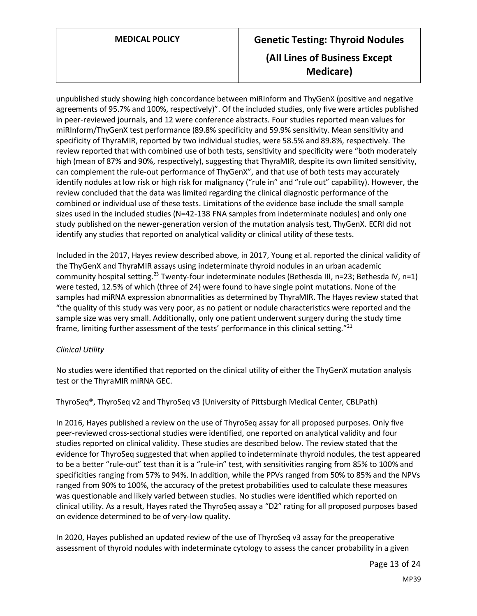# **MEDICAL POLICY Genetic Testing: Thyroid Nodules (All Lines of Business Except Medicare)**

unpublished study showing high concordance between miRInform and ThyGenX (positive and negative agreements of 95.7% and 100%, respectively)". Of the included studies, only five were articles published in peer-reviewed journals, and 12 were conference abstracts. Four studies reported mean values for miRInform/ThyGenX test performance (89.8% specificity and 59.9% sensitivity. Mean sensitivity and specificity of ThyraMIR, reported by two individual studies, were 58.5% and 89.8%, respectively. The review reported that with combined use of both tests, sensitivity and specificity were "both moderately high (mean of 87% and 90%, respectively), suggesting that ThyraMIR, despite its own limited sensitivity, can complement the rule-out performance of ThyGenX", and that use of both tests may accurately identify nodules at low risk or high risk for malignancy ("rule in" and "rule out" capability). However, the review concluded that the data was limited regarding the clinical diagnostic performance of the combined or individual use of these tests. Limitations of the evidence base include the small sample sizes used in the included studies (N=42-138 FNA samples from indeterminate nodules) and only one study published on the newer-generation version of the mutation analysis test, ThyGenX. ECRI did not identify any studies that reported on analytical validity or clinical utility of these tests.

Included in the 2017, Hayes review described above, in 2017, Young et al. reported the clinical validity of the ThyGenX and ThyraMIR assays using indeterminate thyroid nodules in an urban academic community hospital setting.<sup>23</sup> Twenty-four indeterminate nodules (Bethesda III, n=23; Bethesda IV, n=1) were tested, 12.5% of which (three of 24) were found to have single point mutations. None of the samples had miRNA expression abnormalities as determined by ThyraMIR. The Hayes review stated that "the quality of this study was very poor, as no patient or nodule characteristics were reported and the sample size was very small. Additionally, only one patient underwent surgery during the study time frame, limiting further assessment of the tests' performance in this clinical setting."<sup>21</sup>

#### *Clinical Utility*

No studies were identified that reported on the clinical utility of either the ThyGenX mutation analysis test or the ThyraMIR miRNA GEC.

#### ThyroSeq®, ThyroSeq v2 and ThyroSeq v3 (University of Pittsburgh Medical Center, CBLPath)

In 2016, Hayes published a review on the use of ThyroSeq assay for all proposed purposes. Only five peer-reviewed cross-sectional studies were identified, one reported on analytical validity and four studies reported on clinical validity. These studies are described below. The review stated that the evidence for ThyroSeq suggested that when applied to indeterminate thyroid nodules, the test appeared to be a better "rule-out" test than it is a "rule-in" test, with sensitivities ranging from 85% to 100% and specificities ranging from 57% to 94%. In addition, while the PPVs ranged from 50% to 85% and the NPVs ranged from 90% to 100%, the accuracy of the pretest probabilities used to calculate these measures was questionable and likely varied between studies. No studies were identified which reported on clinical utility. As a result, Hayes rated the ThyroSeq assay a "D2" rating for all proposed purposes based on evidence determined to be of very-low quality.

In 2020, Hayes published an updated review of the use of ThyroSeq v3 assay for the preoperative assessment of thyroid nodules with indeterminate cytology to assess the cancer probability in a given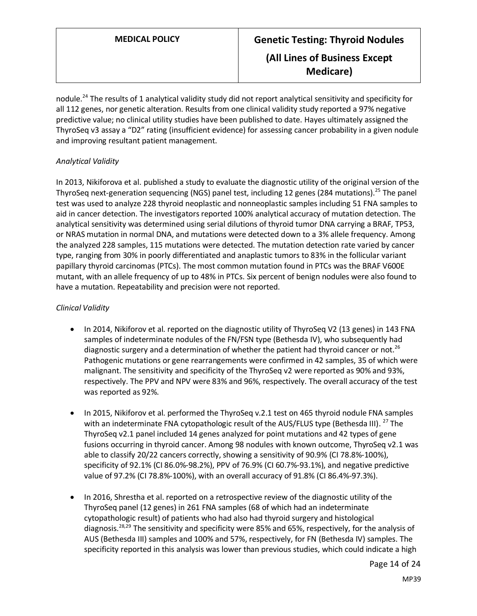nodule.<sup>24</sup> The results of 1 analytical validity study did not report analytical sensitivity and specificity for all 112 genes, nor genetic alteration. Results from one clinical validity study reported a 97% negative predictive value; no clinical utility studies have been published to date. Hayes ultimately assigned the ThyroSeq v3 assay a "D2" rating (insufficient evidence) for assessing cancer probability in a given nodule and improving resultant patient management.

#### *Analytical Validity*

In 2013, Nikiforova et al. published a study to evaluate the diagnostic utility of the original version of the ThyroSeq next-generation sequencing (NGS) panel test, including 12 genes (284 mutations).<sup>25</sup> The panel test was used to analyze 228 thyroid neoplastic and nonneoplastic samples including 51 FNA samples to aid in cancer detection. The investigators reported 100% analytical accuracy of mutation detection. The analytical sensitivity was determined using serial dilutions of thyroid tumor DNA carrying a BRAF, TP53, or NRAS mutation in normal DNA, and mutations were detected down to a 3% allele frequency. Among the analyzed 228 samples, 115 mutations were detected. The mutation detection rate varied by cancer type, ranging from 30% in poorly differentiated and anaplastic tumors to 83% in the follicular variant papillary thyroid carcinomas (PTCs). The most common mutation found in PTCs was the BRAF V600E mutant, with an allele frequency of up to 48% in PTCs. Six percent of benign nodules were also found to have a mutation. Repeatability and precision were not reported.

#### *Clinical Validity*

- In 2014, Nikiforov et al. reported on the diagnostic utility of ThyroSeq V2 (13 genes) in 143 FNA samples of indeterminate nodules of the FN/FSN type (Bethesda IV), who subsequently had diagnostic surgery and a determination of whether the patient had thyroid cancer or not.<sup>26</sup> Pathogenic mutations or gene rearrangements were confirmed in 42 samples, 35 of which were malignant. The sensitivity and specificity of the ThyroSeq v2 were reported as 90% and 93%, respectively. The PPV and NPV were 83% and 96%, respectively. The overall accuracy of the test was reported as 92%.
- In 2015, Nikiforov et al. performed the ThyroSeq v.2.1 test on 465 thyroid nodule FNA samples with an indeterminate FNA cytopathologic result of the AUS/FLUS type (Bethesda III). <sup>27</sup> The ThyroSeq v2.1 panel included 14 genes analyzed for point mutations and 42 types of gene fusions occurring in thyroid cancer. Among 98 nodules with known outcome, ThyroSeq v2.1 was able to classify 20/22 cancers correctly, showing a sensitivity of 90.9% (CI 78.8%-100%), specificity of 92.1% (CI 86.0%-98.2%), PPV of 76.9% (CI 60.7%-93.1%), and negative predictive value of 97.2% (CI 78.8%-100%), with an overall accuracy of 91.8% (CI 86.4%-97.3%).
- In 2016, Shrestha et al. reported on a retrospective review of the diagnostic utility of the ThyroSeq panel (12 genes) in 261 FNA samples (68 of which had an indeterminate cytopathologic result) of patients who had also had thyroid surgery and histological diagnosis.<sup>28,29</sup> The sensitivity and specificity were 85% and 65%, respectively, for the analysis of AUS (Bethesda III) samples and 100% and 57%, respectively, for FN (Bethesda IV) samples. The specificity reported in this analysis was lower than previous studies, which could indicate a high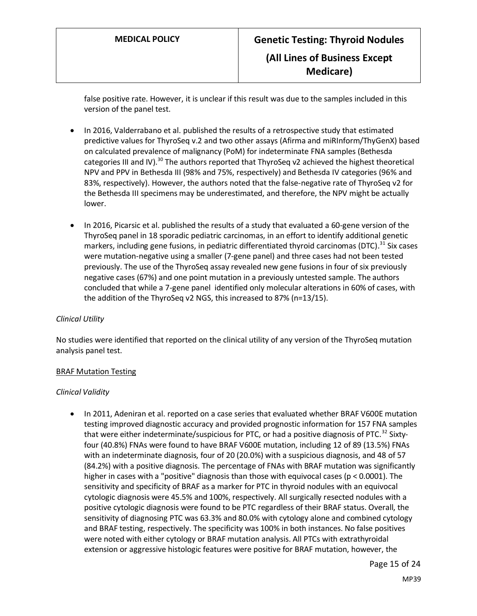false positive rate. However, it is unclear if this result was due to the samples included in this version of the panel test.

- In 2016, Valderrabano et al. published the results of a retrospective study that estimated predictive values for ThyroSeq v.2 and two other assays (Afirma and miRInform/ThyGenX) based on calculated prevalence of malignancy (PoM) for indeterminate FNA samples (Bethesda categories III and IV).<sup>30</sup> The authors reported that ThyroSeq v2 achieved the highest theoretical NPV and PPV in Bethesda III (98% and 75%, respectively) and Bethesda IV categories (96% and 83%, respectively). However, the authors noted that the false-negative rate of ThyroSeq v2 for the Bethesda III specimens may be underestimated, and therefore, the NPV might be actually lower.
- In 2016, Picarsic et al. published the results of a study that evaluated a 60-gene version of the ThyroSeq panel in 18 sporadic pediatric carcinomas, in an effort to identify additional genetic markers, including gene fusions, in pediatric differentiated thyroid carcinomas (DTC).<sup>31</sup> Six cases were mutation-negative using a smaller (7-gene panel) and three cases had not been tested previously. The use of the ThyroSeq assay revealed new gene fusions in four of six previously negative cases (67%) and one point mutation in a previously untested sample. The authors concluded that while a 7-gene panel identified only molecular alterations in 60% of cases, with the addition of the ThyroSeq v2 NGS, this increased to 87% (n=13/15).

#### *Clinical Utility*

No studies were identified that reported on the clinical utility of any version of the ThyroSeq mutation analysis panel test.

#### BRAF Mutation Testing

#### *Clinical Validity*

• In 2011, Adeniran et al. reported on a case series that evaluated whether BRAF V600E mutation testing improved diagnostic accuracy and provided prognostic information for 157 FNA samples that were either indeterminate/suspicious for PTC, or had a positive diagnosis of PTC.<sup>32</sup> Sixtyfour (40.8%) FNAs were found to have BRAF V600E mutation, including 12 of 89 (13.5%) FNAs with an indeterminate diagnosis, four of 20 (20.0%) with a suspicious diagnosis, and 48 of 57 (84.2%) with a positive diagnosis. The percentage of FNAs with BRAF mutation was significantly higher in cases with a "positive" diagnosis than those with equivocal cases ( $p < 0.0001$ ). The sensitivity and specificity of BRAF as a marker for PTC in thyroid nodules with an equivocal cytologic diagnosis were 45.5% and 100%, respectively. All surgically resected nodules with a positive cytologic diagnosis were found to be PTC regardless of their BRAF status. Overall, the sensitivity of diagnosing PTC was 63.3% and 80.0% with cytology alone and combined cytology and BRAF testing, respectively. The specificity was 100% in both instances. No false positives were noted with either cytology or BRAF mutation analysis. All PTCs with extrathyroidal extension or aggressive histologic features were positive for BRAF mutation, however, the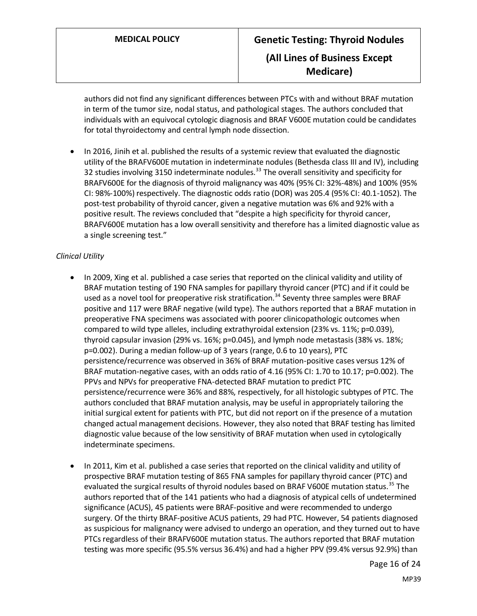authors did not find any significant differences between PTCs with and without BRAF mutation in term of the tumor size, nodal status, and pathological stages. The authors concluded that individuals with an equivocal cytologic diagnosis and BRAF V600E mutation could be candidates for total thyroidectomy and central lymph node dissection.

• In 2016, Jinih et al. published the results of a systemic review that evaluated the diagnostic utility of the BRAFV600E mutation in indeterminate nodules (Bethesda class III and IV), including 32 studies involving 3150 indeterminate nodules.<sup>33</sup> The overall sensitivity and specificity for BRAFV600E for the diagnosis of thyroid malignancy was 40% (95% CI: 32%-48%) and 100% (95% CI: 98%-100%) respectively. The diagnostic odds ratio (DOR) was 205.4 (95% CI: 40.1-1052). The post-test probability of thyroid cancer, given a negative mutation was 6% and 92% with a positive result. The reviews concluded that "despite a high specificity for thyroid cancer, BRAFV600E mutation has a low overall sensitivity and therefore has a limited diagnostic value as a single screening test."

#### *Clinical Utility*

- In 2009, Xing et al. published a case series that reported on the clinical validity and utility of BRAF mutation testing of 190 FNA samples for papillary thyroid cancer (PTC) and if it could be used as a novel tool for preoperative risk stratification.<sup>34</sup> Seventy three samples were BRAF positive and 117 were BRAF negative (wild type). The authors reported that a BRAF mutation in preoperative FNA specimens was associated with poorer clinicopathologic outcomes when compared to wild type alleles, including extrathyroidal extension (23% vs. 11%; p=0.039), thyroid capsular invasion (29% vs. 16%; p=0.045), and lymph node metastasis (38% vs. 18%; p=0.002). During a median follow-up of 3 years (range, 0.6 to 10 years), PTC persistence/recurrence was observed in 36% of BRAF mutation-positive cases versus 12% of BRAF mutation-negative cases, with an odds ratio of 4.16 (95% CI: 1.70 to 10.17; p=0.002). The PPVs and NPVs for preoperative FNA-detected BRAF mutation to predict PTC persistence/recurrence were 36% and 88%, respectively, for all histologic subtypes of PTC. The authors concluded that BRAF mutation analysis, may be useful in appropriately tailoring the initial surgical extent for patients with PTC, but did not report on if the presence of a mutation changed actual management decisions. However, they also noted that BRAF testing has limited diagnostic value because of the low sensitivity of BRAF mutation when used in cytologically indeterminate specimens.
- In 2011, Kim et al. published a case series that reported on the clinical validity and utility of prospective BRAF mutation testing of 865 FNA samples for papillary thyroid cancer (PTC) and evaluated the surgical results of thyroid nodules based on BRAF V600E mutation status.<sup>35</sup> The authors reported that of the 141 patients who had a diagnosis of atypical cells of undetermined significance (ACUS), 45 patients were BRAF-positive and were recommended to undergo surgery. Of the thirty BRAF-positive ACUS patients, 29 had PTC. However, 54 patients diagnosed as suspicious for malignancy were advised to undergo an operation, and they turned out to have PTCs regardless of their BRAFV600E mutation status. The authors reported that BRAF mutation testing was more specific (95.5% versus 36.4%) and had a higher PPV (99.4% versus 92.9%) than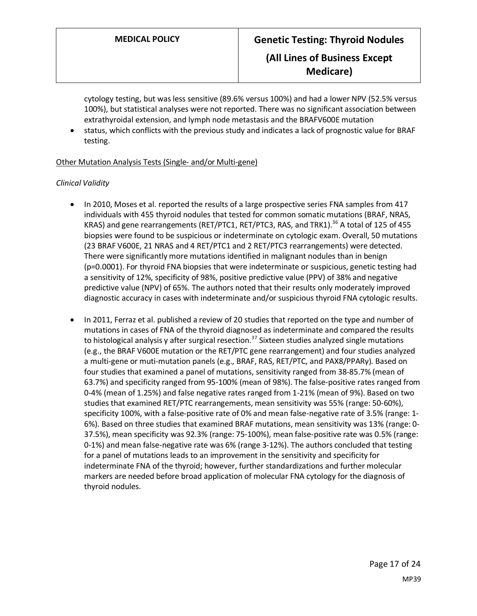cytology testing, but was less sensitive (89.6% versus 100%) and had a lower NPV (52.5% versus 100%), but statistical analyses were not reported. There was no significant association between extrathyroidal extension, and lymph node metastasis and the BRAFV600E mutation

• status, which conflicts with the previous study and indicates a lack of prognostic value for BRAF testing.

#### Other Mutation Analysis Tests (Single- and/or Multi-gene)

#### *Clinical Validity*

- In 2010, Moses et al. reported the results of a large prospective series FNA samples from 417 individuals with 455 thyroid nodules that tested for common somatic mutations (BRAF, NRAS, KRAS) and gene rearrangements (RET/PTC1, RET/PTC3, RAS, and TRK1).<sup>36</sup> A total of 125 of 455 biopsies were found to be suspicious or indeterminate on cytologic exam. Overall, 50 mutations (23 BRAF V600E, 21 NRAS and 4 RET/PTC1 and 2 RET/PTC3 rearrangements) were detected. There were significantly more mutations identified in malignant nodules than in benign (p=0.0001). For thyroid FNA biopsies that were indeterminate or suspicious, genetic testing had a sensitivity of 12%, specificity of 98%, positive predictive value (PPV) of 38% and negative predictive value (NPV) of 65%. The authors noted that their results only moderately improved diagnostic accuracy in cases with indeterminate and/or suspicious thyroid FNA cytologic results.
- In 2011, Ferraz et al. published a review of 20 studies that reported on the type and number of mutations in cases of FNA of the thyroid diagnosed as indeterminate and compared the results to histological analysis y after surgical resection.<sup>37</sup> Sixteen studies analyzed single mutations (e.g., the BRAF V600E mutation or the RET/PTC gene rearrangement) and four studies analyzed a multi-gene or muti-mutation panels (e.g., BRAF, RAS, RET/PTC, and PAX8/PPARγ). Based on four studies that examined a panel of mutations, sensitivity ranged from 38-85.7% (mean of 63.7%) and specificity ranged from 95-100% (mean of 98%). The false-positive rates ranged from 0-4% (mean of 1.25%) and false negative rates ranged from 1-21% (mean of 9%). Based on two studies that examined RET/PTC rearrangements, mean sensitivity was 55% (range: 50-60%), specificity 100%, with a false-positive rate of 0% and mean false-negative rate of 3.5% (range: 1- 6%). Based on three studies that examined BRAF mutations, mean sensitivity was 13% (range: 0- 37.5%), mean specificity was 92.3% (range: 75-100%), mean false-positive rate was 0.5% (range: 0-1%) and mean false-negative rate was 6% (range 3-12%). The authors concluded that testing for a panel of mutations leads to an improvement in the sensitivity and specificity for indeterminate FNA of the thyroid; however, further standardizations and further molecular markers are needed before broad application of molecular FNA cytology for the diagnosis of thyroid nodules.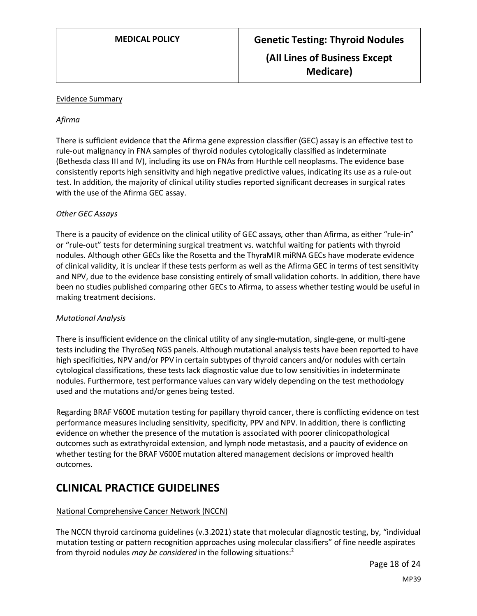#### Evidence Summary

#### *Afirma*

There is sufficient evidence that the Afirma gene expression classifier (GEC) assay is an effective test to rule-out malignancy in FNA samples of thyroid nodules cytologically classified as indeterminate (Bethesda class III and IV), including its use on FNAs from Hurthle cell neoplasms. The evidence base consistently reports high sensitivity and high negative predictive values, indicating its use as a rule-out test. In addition, the majority of clinical utility studies reported significant decreases in surgical rates with the use of the Afirma GEC assay.

#### *Other GEC Assays*

There is a paucity of evidence on the clinical utility of GEC assays, other than Afirma, as either "rule-in" or "rule-out" tests for determining surgical treatment vs. watchful waiting for patients with thyroid nodules. Although other GECs like the Rosetta and the ThyraMIR miRNA GECs have moderate evidence of clinical validity, it is unclear if these tests perform as well as the Afirma GEC in terms of test sensitivity and NPV, due to the evidence base consisting entirely of small validation cohorts. In addition, there have been no studies published comparing other GECs to Afirma, to assess whether testing would be useful in making treatment decisions.

#### *Mutational Analysis*

There is insufficient evidence on the clinical utility of any single-mutation, single-gene, or multi-gene tests including the ThyroSeq NGS panels. Although mutational analysis tests have been reported to have high specificities, NPV and/or PPV in certain subtypes of thyroid cancers and/or nodules with certain cytological classifications, these tests lack diagnostic value due to low sensitivities in indeterminate nodules. Furthermore, test performance values can vary widely depending on the test methodology used and the mutations and/or genes being tested.

Regarding BRAF V600E mutation testing for papillary thyroid cancer, there is conflicting evidence on test performance measures including sensitivity, specificity, PPV and NPV. In addition, there is conflicting evidence on whether the presence of the mutation is associated with poorer clinicopathological outcomes such as extrathyroidal extension, and lymph node metastasis, and a paucity of evidence on whether testing for the BRAF V600E mutation altered management decisions or improved health outcomes.

# **CLINICAL PRACTICE GUIDELINES**

#### National Comprehensive Cancer Network (NCCN)

The NCCN thyroid carcinoma guidelines (v.3.2021) state that molecular diagnostic testing, by, "individual mutation testing or pattern recognition approaches using molecular classifiers" of fine needle aspirates from thyroid nodules *may be considered* in the following situations: 2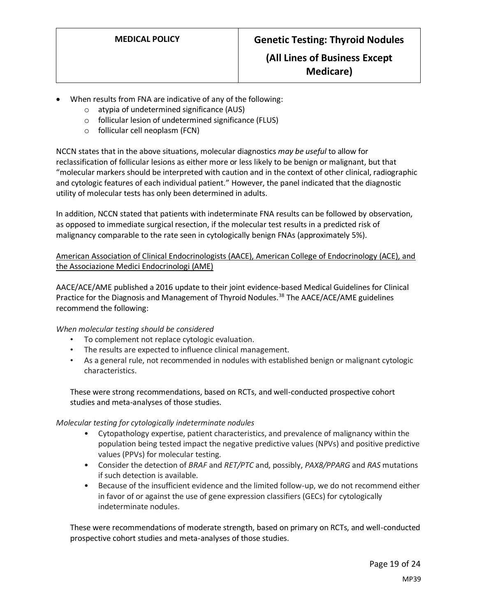- When results from FNA are indicative of any of the following:
	- o atypia of undetermined significance (AUS)
	- o follicular lesion of undetermined significance (FLUS)
	- o follicular cell neoplasm (FCN)

NCCN states that in the above situations, molecular diagnostics *may be useful* to allow for reclassification of follicular lesions as either more or less likely to be benign or malignant, but that "molecular markers should be interpreted with caution and in the context of other clinical, radiographic and cytologic features of each individual patient." However, the panel indicated that the diagnostic utility of molecular tests has only been determined in adults.

In addition, NCCN stated that patients with indeterminate FNA results can be followed by observation, as opposed to immediate surgical resection, if the molecular test results in a predicted risk of malignancy comparable to the rate seen in cytologically benign FNAs (approximately 5%).

American Association of Clinical Endocrinologists (AACE), American College of Endocrinology (ACE), and the Associazione Medici Endocrinologi (AME)

AACE/ACE/AME published a 2016 update to their joint evidence-based Medical Guidelines for Clinical Practice for the Diagnosis and Management of Thyroid Nodules.<sup>38</sup> The AACE/ACE/AME guidelines recommend the following:

#### *When molecular testing should be considered*

- To complement not replace cytologic evaluation.
- The results are expected to influence clinical management.
- As a general rule, not recommended in nodules with established benign or malignant cytologic characteristics.

These were strong recommendations, based on RCTs, and well-conducted prospective cohort studies and meta-analyses of those studies.

#### *Molecular testing for cytologically indeterminate nodules*

- Cytopathology expertise, patient characteristics, and prevalence of malignancy within the population being tested impact the negative predictive values (NPVs) and positive predictive values (PPVs) for molecular testing.
- Consider the detection of *BRAF* and *RET/PTC* and, possibly, *PAX8/PPARG* and *RAS* mutations if such detection is available.
- Because of the insufficient evidence and the limited follow-up, we do not recommend either in favor of or against the use of gene expression classifiers (GECs) for cytologically indeterminate nodules.

These were recommendations of moderate strength, based on primary on RCTs, and well-conducted prospective cohort studies and meta-analyses of those studies.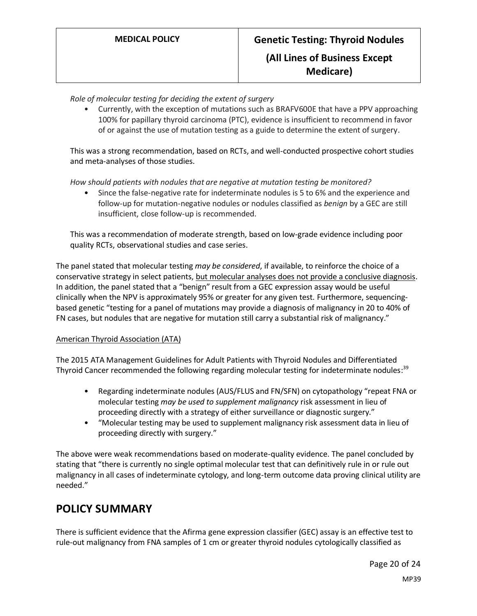*Role of molecular testing for deciding the extent of surgery*

• Currently, with the exception of mutations such as BRAFV600E that have a PPV approaching 100% for papillary thyroid carcinoma (PTC), evidence is insufficient to recommend in favor of or against the use of mutation testing as a guide to determine the extent of surgery.

This was a strong recommendation, based on RCTs, and well-conducted prospective cohort studies and meta-analyses of those studies.

*How should patients with nodules that are negative at mutation testing be monitored?*

• Since the false-negative rate for indeterminate nodules is 5 to 6% and the experience and follow-up for mutation-negative nodules or nodules classified as *benign* by a GEC are still insufficient, close follow-up is recommended.

This was a recommendation of moderate strength, based on low-grade evidence including poor quality RCTs, observational studies and case series.

The panel stated that molecular testing *may be considered*, if available, to reinforce the choice of a conservative strategy in select patients, but molecular analyses does not provide a conclusive diagnosis. In addition, the panel stated that a "benign" result from a GEC expression assay would be useful clinically when the NPV is approximately 95% or greater for any given test. Furthermore, sequencingbased genetic "testing for a panel of mutations may provide a diagnosis of malignancy in 20 to 40% of FN cases, but nodules that are negative for mutation still carry a substantial risk of malignancy."

#### American Thyroid Association (ATA)

The 2015 ATA Management Guidelines for Adult Patients with Thyroid Nodules and Differentiated Thyroid Cancer recommended the following regarding molecular testing for indeterminate nodules:<sup>39</sup>

- Regarding indeterminate nodules (AUS/FLUS and FN/SFN) on cytopathology "repeat FNA or molecular testing *may be used to supplement malignancy* risk assessment in lieu of proceeding directly with a strategy of either surveillance or diagnostic surgery."
- "Molecular testing may be used to supplement malignancy risk assessment data in lieu of proceeding directly with surgery."

The above were weak recommendations based on moderate-quality evidence. The panel concluded by stating that "there is currently no single optimal molecular test that can definitively rule in or rule out malignancy in all cases of indeterminate cytology, and long-term outcome data proving clinical utility are needed."

### <span id="page-19-0"></span>**POLICY SUMMARY**

There is sufficient evidence that the Afirma gene expression classifier (GEC) assay is an effective test to rule-out malignancy from FNA samples of 1 cm or greater thyroid nodules cytologically classified as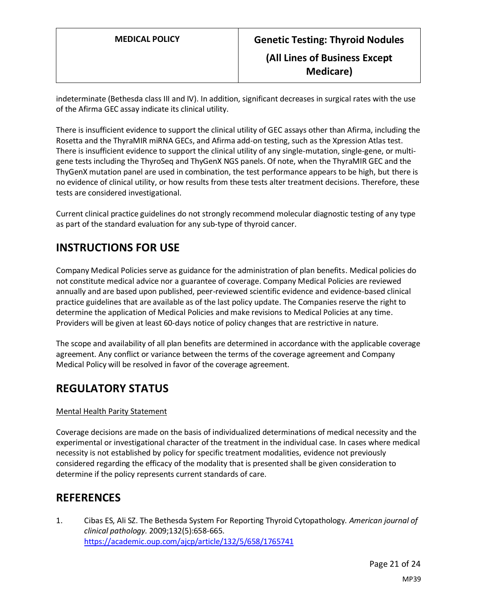indeterminate (Bethesda class III and IV). In addition, significant decreases in surgical rates with the use of the Afirma GEC assay indicate its clinical utility.

There is insufficient evidence to support the clinical utility of GEC assays other than Afirma, including the Rosetta and the ThyraMIR miRNA GECs, and Afirma add-on testing, such as the Xpression Atlas test. There is insufficient evidence to support the clinical utility of any single-mutation, single-gene, or multigene tests including the ThyroSeq and ThyGenX NGS panels. Of note, when the ThyraMIR GEC and the ThyGenX mutation panel are used in combination, the test performance appears to be high, but there is no evidence of clinical utility, or how results from these tests alter treatment decisions. Therefore, these tests are considered investigational.

Current clinical practice guidelines do not strongly recommend molecular diagnostic testing of any type as part of the standard evaluation for any sub-type of thyroid cancer.

# **INSTRUCTIONS FOR USE**

Company Medical Policies serve as guidance for the administration of plan benefits. Medical policies do not constitute medical advice nor a guarantee of coverage. Company Medical Policies are reviewed annually and are based upon published, peer-reviewed scientific evidence and evidence-based clinical practice guidelines that are available as of the last policy update. The Companies reserve the right to determine the application of Medical Policies and make revisions to Medical Policies at any time. Providers will be given at least 60-days notice of policy changes that are restrictive in nature.

The scope and availability of all plan benefits are determined in accordance with the applicable coverage agreement. Any conflict or variance between the terms of the coverage agreement and Company Medical Policy will be resolved in favor of the coverage agreement.

# **REGULATORY STATUS**

#### Mental Health Parity Statement

Coverage decisions are made on the basis of individualized determinations of medical necessity and the experimental or investigational character of the treatment in the individual case. In cases where medical necessity is not established by policy for specific treatment modalities, evidence not previously considered regarding the efficacy of the modality that is presented shall be given consideration to determine if the policy represents current standards of care.

# **REFERENCES**

1. Cibas ES, Ali SZ. The Bethesda System For Reporting Thyroid Cytopathology. *American journal of clinical pathology.* 2009;132(5):658-665. <https://academic.oup.com/ajcp/article/132/5/658/1765741>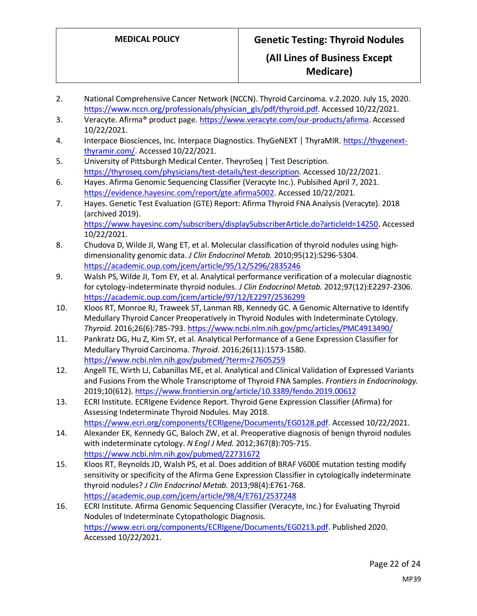- 2. National Comprehensive Cancer Network (NCCN). Thyroid Carcinoma. v.2.2020. July 15, 2020. [https://www.nccn.org/professionals/physician\\_gls/pdf/thyroid.pdf.](https://www.nccn.org/professionals/physician_gls/pdf/thyroid.pdf) Accessed 10/22/2021.
- 3. Veracyte. Afirma® product page. [https://www.veracyte.com/our-products/afirma.](https://www.veracyte.com/our-products/afirma) Accessed 10/22/2021.
- 4. Interpace Biosciences, Inc. Interpace Diagnostics. ThyGeNEXT | ThyraMIR. [https://thygenext](https://thygenext-thyramir.com/)[thyramir.com/.](https://thygenext-thyramir.com/) Accessed 10/22/2021.
- 5. University of Pittsburgh Medical Center. TheyroSeq | Test Description. [https://thyroseq.com/physicians/test-details/test-description.](https://thyroseq.com/physicians/test-details/test-description) Accessed 10/22/2021.
- 6. Hayes. Afirma Genomic Sequencing Classifier (Veracyte Inc.). Publsihed April 7, 2021. [https://evidence.hayesinc.com/report/gte.afirma5002.](https://evidence.hayesinc.com/report/gte.afirma5002) Accessed 10/22/2021.
- 7. Hayes. Genetic Test Evaluation (GTE) Report: Afirma Thyroid FNA Analysis (Veracyte). 2018 (archived 2019). [https://www.hayesinc.com/subscribers/displaySubscriberArticle.do?articleId=14250.](https://www.hayesinc.com/subscribers/displaySubscriberArticle.do?articleId=14250) Accessed
- 10/22/2021. 8. Chudova D, Wilde JI, Wang ET, et al. Molecular classification of thyroid nodules using highdimensionality genomic data. *J Clin Endocrinol Metab.* 2010;95(12):5296-5304. <https://academic.oup.com/jcem/article/95/12/5296/2835246>
- 9. Walsh PS, Wilde JI, Tom EY, et al. Analytical performance verification of a molecular diagnostic for cytology-indeterminate thyroid nodules. *J Clin Endocrinol Metab.* 2012;97(12):E2297-2306. <https://academic.oup.com/jcem/article/97/12/E2297/2536299>
- 10. Kloos RT, Monroe RJ, Traweek ST, Lanman RB, Kennedy GC. A Genomic Alternative to Identify Medullary Thyroid Cancer Preoperatively in Thyroid Nodules with Indeterminate Cytology. *Thyroid.* 2016;26(6):785-793[. https://www.ncbi.nlm.nih.gov/pmc/articles/PMC4913490/](https://www.ncbi.nlm.nih.gov/pmc/articles/PMC4913490/)
- 11. Pankratz DG, Hu Z, Kim SY, et al. Analytical Performance of a Gene Expression Classifier for Medullary Thyroid Carcinoma. *Thyroid.* 2016;26(11):1573-1580. <https://www.ncbi.nlm.nih.gov/pubmed/?term=27605259>
- 12. Angell TE, Wirth LJ, Cabanillas ME, et al. Analytical and Clinical Validation of Expressed Variants and Fusions From the Whole Transcriptome of Thyroid FNA Samples. *Frontiers in Endocrinology.*  2019;10(612).<https://www.frontiersin.org/article/10.3389/fendo.2019.00612>
- 13. ECRI Institute. ECRIgene Evidence Report. Thyroid Gene Expression Classifier (Afirma) for Assessing Indeterminate Thyroid Nodules. May 2018. [https://www.ecri.org/components/ECRIgene/Documents/EG0128.pdf.](https://www.ecri.org/components/ECRIgene/Documents/EG0128.pdf) Accessed 10/22/2021.
- 14. Alexander EK, Kennedy GC, Baloch ZW, et al. Preoperative diagnosis of benign thyroid nodules with indeterminate cytology. *N Engl J Med.* 2012;367(8):705-715. <https://www.ncbi.nlm.nih.gov/pubmed/22731672>
- 15. Kloos RT, Reynolds JD, Walsh PS, et al. Does addition of BRAF V600E mutation testing modify sensitivity or specificity of the Afirma Gene Expression Classifier in cytologically indeterminate thyroid nodules? *J Clin Endocrinol Metab.* 2013;98(4):E761-768. <https://academic.oup.com/jcem/article/98/4/E761/2537248>
- 16. ECRI Institute. Afirma Genomic Sequencing Classifier (Veracyte, Inc.) for Evaluating Thyroid Nodules of Indeterminate Cytopathologic Diagnosis. [https://www.ecri.org/components/ECRIgene/Documents/EG0213.pdf.](https://www.ecri.org/components/ECRIgene/Documents/EG0213.pdf) Published 2020. Accessed 10/22/2021.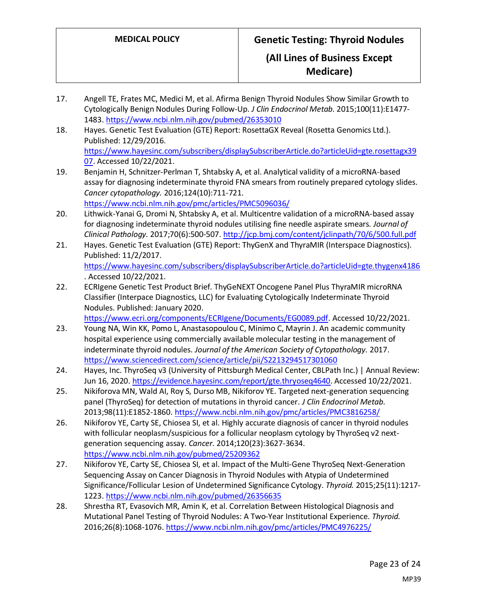**Medicare)**

- 17. Angell TE, Frates MC, Medici M, et al. Afirma Benign Thyroid Nodules Show Similar Growth to Cytologically Benign Nodules During Follow-Up. *J Clin Endocrinol Metab.* 2015;100(11):E1477- 1483[. https://www.ncbi.nlm.nih.gov/pubmed/26353010](https://www.ncbi.nlm.nih.gov/pubmed/26353010)
- 18. Hayes. Genetic Test Evaluation (GTE) Report: RosettaGX Reveal (Rosetta Genomics Ltd.). Published: 12/29/2016. [https://www.hayesinc.com/subscribers/displaySubscriberArticle.do?articleUid=gte.rosettagx39](https://www.hayesinc.com/subscribers/displaySubscriberArticle.do?articleUid=gte.rosettagx3907) [07.](https://www.hayesinc.com/subscribers/displaySubscriberArticle.do?articleUid=gte.rosettagx3907) Accessed 10/22/2021.
- 19. Benjamin H, Schnitzer-Perlman T, Shtabsky A, et al. Analytical validity of a microRNA-based assay for diagnosing indeterminate thyroid FNA smears from routinely prepared cytology slides. *Cancer cytopathology.* 2016;124(10):711-721.

<https://www.ncbi.nlm.nih.gov/pmc/articles/PMC5096036/>

- 20. Lithwick-Yanai G, Dromi N, Shtabsky A, et al. Multicentre validation of a microRNA-based assay for diagnosing indeterminate thyroid nodules utilising fine needle aspirate smears. *Journal of Clinical Pathology.* 2017;70(6):500-507[. http://jcp.bmj.com/content/jclinpath/70/6/500.full.pdf](http://jcp.bmj.com/content/jclinpath/70/6/500.full.pdf)
- 21. Hayes. Genetic Test Evaluation (GTE) Report: ThyGenX and ThyraMIR (Interspace Diagnostics). Published: 11/2/2017. <https://www.hayesinc.com/subscribers/displaySubscriberArticle.do?articleUid=gte.thygenx4186> . Accessed 10/22/2021.
- 22. ECRIgene Genetic Test Product Brief. ThyGeNEXT Oncogene Panel Plus ThyraMIR microRNA Classifier (Interpace Diagnostics, LLC) for Evaluating Cytologically Indeterminate Thyroid Nodules. Published: January 2020.

[https://www.ecri.org/components/ECRIgene/Documents/EG0089.pdf.](https://www.ecri.org/components/ECRIgene/Documents/EG0089.pdf) Accessed 10/22/2021.

- 23. Young NA, Win KK, Pomo L, Anastasopoulou C, Minimo C, Mayrin J. An academic community hospital experience using commercially available molecular testing in the management of indeterminate thyroid nodules. *Journal of the American Society of Cytopathology.* 2017. <https://www.sciencedirect.com/science/article/pii/S2213294517301060>
- 24. Hayes, Inc. ThyroSeq v3 (University of Pittsburgh Medical Center, CBLPath Inc.) | Annual Review: Jun 16, 2020[. https://evidence.hayesinc.com/report/gte.thryoseq4640.](https://evidence.hayesinc.com/report/gte.thryoseq4640) Accessed 10/22/2021.
- 25. Nikiforova MN, Wald AI, Roy S, Durso MB, Nikiforov YE. Targeted next-generation sequencing panel (ThyroSeq) for detection of mutations in thyroid cancer. *J Clin Endocrinol Metab.*  2013;98(11):E1852-1860.<https://www.ncbi.nlm.nih.gov/pmc/articles/PMC3816258/>
- 26. Nikiforov YE, Carty SE, Chiosea SI, et al. Highly accurate diagnosis of cancer in thyroid nodules with follicular neoplasm/suspicious for a follicular neoplasm cytology by ThyroSeq v2 nextgeneration sequencing assay. *Cancer.* 2014;120(23):3627-3634. <https://www.ncbi.nlm.nih.gov/pubmed/25209362>
- 27. Nikiforov YE, Carty SE, Chiosea SI, et al. Impact of the Multi-Gene ThyroSeq Next-Generation Sequencing Assay on Cancer Diagnosis in Thyroid Nodules with Atypia of Undetermined Significance/Follicular Lesion of Undetermined Significance Cytology. *Thyroid.* 2015;25(11):1217- 1223[. https://www.ncbi.nlm.nih.gov/pubmed/26356635](https://www.ncbi.nlm.nih.gov/pubmed/26356635)
- 28. Shrestha RT, Evasovich MR, Amin K, et al. Correlation Between Histological Diagnosis and Mutational Panel Testing of Thyroid Nodules: A Two-Year Institutional Experience. *Thyroid.*  2016;26(8):1068-1076.<https://www.ncbi.nlm.nih.gov/pmc/articles/PMC4976225/>